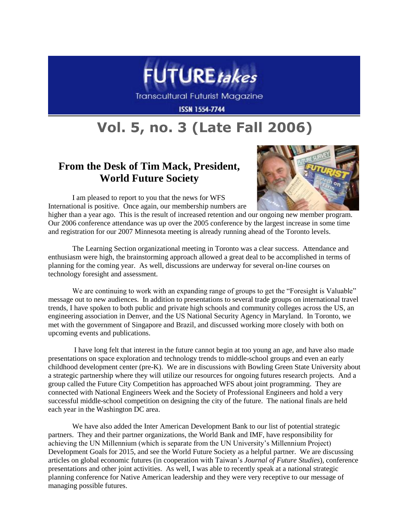

Transcultural Futurist Magazine

**ISSN 1554-7744** 

## **Vol. 5, no. 3 (Late Fall 2006)**

## **From the Desk of Tim Mack, President, World Future Society**

I am pleased to report to you that the news for WFS International is positive. Once again, our membership numbers are



higher than a year ago. This is the result of increased retention and our ongoing new member program. Our 2006 conference attendance was up over the 2005 conference by the largest increase in some time and registration for our 2007 Minnesota meeting is already running ahead of the Toronto levels.

The Learning Section organizational meeting in Toronto was a clear success. Attendance and enthusiasm were high, the brainstorming approach allowed a great deal to be accomplished in terms of planning for the coming year. As well, discussions are underway for several on-line courses on technology foresight and assessment.

We are continuing to work with an expanding range of groups to get the "Foresight is Valuable" message out to new audiences. In addition to presentations to several trade groups on international travel trends, I have spoken to both public and private high schools and community colleges across the US, an engineering association in Denver, and the US National Security Agency in Maryland. In Toronto, we met with the government of Singapore and Brazil, and discussed working more closely with both on upcoming events and publications.

I have long felt that interest in the future cannot begin at too young an age, and have also made presentations on space exploration and technology trends to middle-school groups and even an early childhood development center (pre-K). We are in discussions with Bowling Green State University about a strategic partnership where they will utilize our resources for ongoing futures research projects. And a group called the Future City Competition has approached WFS about joint programming. They are connected with National Engineers Week and the Society of Professional Engineers and hold a very successful middle-school competition on designing the city of the future. The national finals are held each year in the Washington DC area.

We have also added the Inter American Development Bank to our list of potential strategic partners. They and their partner organizations, the World Bank and IMF, have responsibility for achieving the UN Millennium (which is separate from the UN University"s Millennium Project) Development Goals for 2015, and see the World Future Society as a helpful partner. We are discussing articles on global economic futures (in cooperation with Taiwan"s *Journal of Future Studies*), conference presentations and other joint activities. As well, I was able to recently speak at a national strategic planning conference for Native American leadership and they were very receptive to our message of managing possible futures.